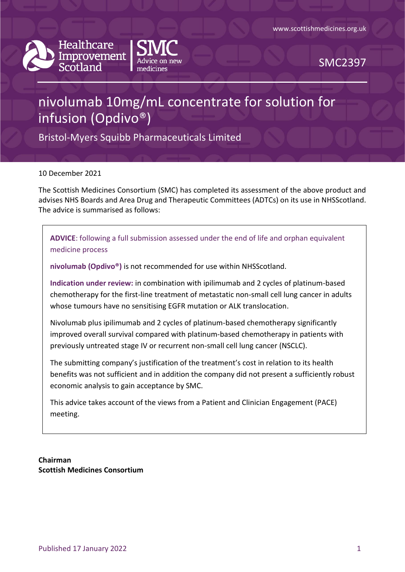



SMC2397

# nivolumab 10mg/mL concentrate for solution for infusion (Opdivo®)

Bristol-Myers Squibb Pharmaceuticals Limited

10 December 2021

The Scottish Medicines Consortium (SMC) has completed its assessment of the above product and advises NHS Boards and Area Drug and Therapeutic Committees (ADTCs) on its use in NHSScotland. The advice is summarised as follows:

**ADVICE**: following a full submission assessed under the end of life and orphan equivalent medicine process

**nivolumab (Opdivo®)** is not recommended for use within NHSScotland.

**Indication under review:** in combination with ipilimumab and 2 cycles of platinum-based chemotherapy for the first-line treatment of metastatic non-small cell lung cancer in adults whose tumours have no sensitising EGFR mutation or ALK translocation.

Nivolumab plus ipilimumab and 2 cycles of platinum-based chemotherapy significantly improved overall survival compared with platinum-based chemotherapy in patients with previously untreated stage IV or recurrent non-small cell lung cancer (NSCLC).

The submitting company's justification of the treatment's cost in relation to its health benefits was not sufficient and in addition the company did not present a sufficiently robust economic analysis to gain acceptance by SMC.

This advice takes account of the views from a Patient and Clinician Engagement (PACE) meeting.

**Chairman Scottish Medicines Consortium**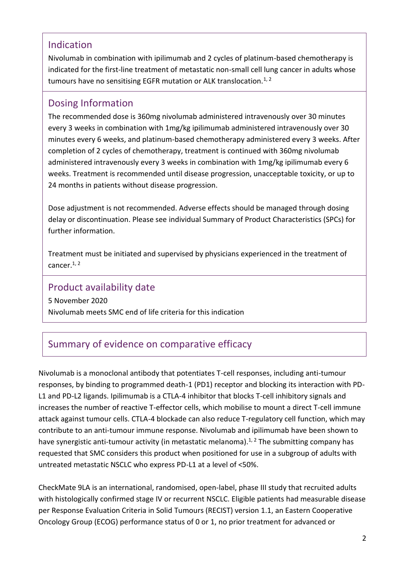### Indication

Nivolumab in combination with ipilimumab and 2 cycles of platinum-based chemotherapy is indicated for the first-line treatment of metastatic non-small cell lung cancer in adults whose tumours have no sensitising EGFR mutation or ALK translocation.<sup>1, 2</sup>

### Dosing Information

The recommended dose is 360mg nivolumab administered intravenously over 30 minutes every 3 weeks in combination with 1mg/kg ipilimumab administered intravenously over 30 minutes every 6 weeks, and platinum-based chemotherapy administered every 3 weeks. After completion of 2 cycles of chemotherapy, treatment is continued with 360mg nivolumab administered intravenously every 3 weeks in combination with 1mg/kg ipilimumab every 6 weeks. Treatment is recommended until disease progression, unacceptable toxicity, or up to 24 months in patients without disease progression.

Dose adjustment is not recommended. Adverse effects should be managed through dosing delay or discontinuation. Please see individual Summary of Product Characteristics (SPCs) for further information.

Treatment must be initiated and supervised by physicians experienced in the treatment of cancer.<sup>1, 2</sup>

### Product availability date

5 November 2020 Nivolumab meets SMC end of life criteria for this indication

### Summary of evidence on comparative efficacy

Nivolumab is a monoclonal antibody that potentiates T-cell responses, including anti-tumour responses, by binding to programmed death-1 (PD1) receptor and blocking its interaction with PD-L1 and PD-L2 ligands. Ipilimumab is a CTLA-4 inhibitor that blocks T-cell inhibitory signals and increases the number of reactive T-effector cells, which mobilise to mount a direct T-cell immune attack against tumour cells. CTLA-4 blockade can also reduce T-regulatory cell function, which may contribute to an anti-tumour immune response. Nivolumab and ipilimumab have been shown to have synergistic anti-tumour activity (in metastatic melanoma).<sup>1, 2</sup> The submitting company has requested that SMC considers this product when positioned for use in a subgroup of adults with untreated metastatic NSCLC who express PD-L1 at a level of <50%.

CheckMate 9LA is an international, randomised, open-label, phase III study that recruited adults with histologically confirmed stage IV or recurrent NSCLC. Eligible patients had measurable disease per Response Evaluation Criteria in Solid Tumours (RECIST) version 1.1, an Eastern Cooperative Oncology Group (ECOG) performance status of 0 or 1, no prior treatment for advanced or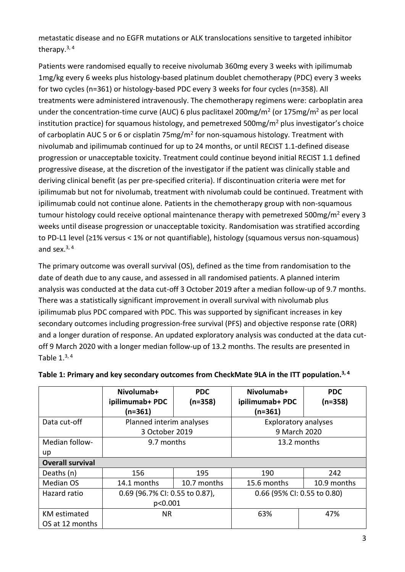metastatic disease and no EGFR mutations or ALK translocations sensitive to targeted inhibitor therapy.<sup>3,4</sup>

Patients were randomised equally to receive nivolumab 360mg every 3 weeks with ipilimumab 1mg/kg every 6 weeks plus histology-based platinum doublet chemotherapy (PDC) every 3 weeks for two cycles (n=361) or histology-based PDC every 3 weeks for four cycles (n=358). All treatments were administered intravenously. The chemotherapy regimens were: carboplatin area under the concentration-time curve (AUC) 6 plus paclitaxel 200mg/m<sup>2</sup> (or 175mg/m<sup>2</sup> as per local institution practice) for squamous histology, and pemetrexed 500mg/ $m^2$  plus investigator's choice of carboplatin AUC 5 or 6 or cisplatin 75mg/m<sup>2</sup> for non-squamous histology. Treatment with nivolumab and ipilimumab continued for up to 24 months, or until RECIST 1.1-defined disease progression or unacceptable toxicity. Treatment could continue beyond initial RECIST 1.1 defined progressive disease, at the discretion of the investigator if the patient was clinically stable and deriving clinical benefit (as per pre-specified criteria). If discontinuation criteria were met for ipilimumab but not for nivolumab, treatment with nivolumab could be continued. Treatment with ipilimumab could not continue alone. Patients in the chemotherapy group with non-squamous tumour histology could receive optional maintenance therapy with pemetrexed 500mg/m<sup>2</sup> every 3 weeks until disease progression or unacceptable toxicity. Randomisation was stratified according to PD-L1 level (≥1% versus < 1% or not quantifiable), histology (squamous versus non-squamous) and sex. $3, 4$ 

The primary outcome was overall survival (OS), defined as the time from randomisation to the date of death due to any cause, and assessed in all randomised patients. A planned interim analysis was conducted at the data cut-off 3 October 2019 after a median follow-up of 9.7 months. There was a statistically significant improvement in overall survival with nivolumab plus ipilimumab plus PDC compared with PDC. This was supported by significant increases in key secondary outcomes including progression-free survival (PFS) and objective response rate (ORR) and a longer duration of response. An updated exploratory analysis was conducted at the data cutoff 9 March 2020 with a longer median follow-up of 13.2 months. The results are presented in Table  $1<sup>3,4</sup>$ 

|                         | Nivolumab+<br>ipilimumab+ PDC  | <b>PDC</b><br>$(n=358)$ | Nivolumab+<br>ipilimumab+ PDC | <b>PDC</b><br>$(n=358)$ |
|-------------------------|--------------------------------|-------------------------|-------------------------------|-------------------------|
|                         | $(n=361)$                      |                         | $(n=361)$                     |                         |
| Data cut-off            | Planned interim analyses       |                         | <b>Exploratory analyses</b>   |                         |
|                         | 3 October 2019                 |                         | 9 March 2020                  |                         |
| Median follow-          | 9.7 months                     |                         | 13.2 months                   |                         |
| up                      |                                |                         |                               |                         |
| <b>Overall survival</b> |                                |                         |                               |                         |
| Deaths (n)              | 156                            | 195                     | 190                           | 242                     |
| Median OS               | 14.1 months                    | 10.7 months             | 15.6 months                   | 10.9 months             |
| Hazard ratio            | 0.69 (96.7% CI: 0.55 to 0.87), |                         | 0.66 (95% CI: 0.55 to 0.80)   |                         |
|                         | p<0.001                        |                         |                               |                         |
| <b>KM</b> estimated     | <b>NR</b>                      |                         | 63%                           | 47%                     |
| OS at 12 months         |                                |                         |                               |                         |

#### **Table 1: Primary and key secondary outcomes from CheckMate 9LA in the ITT population. 3, 4**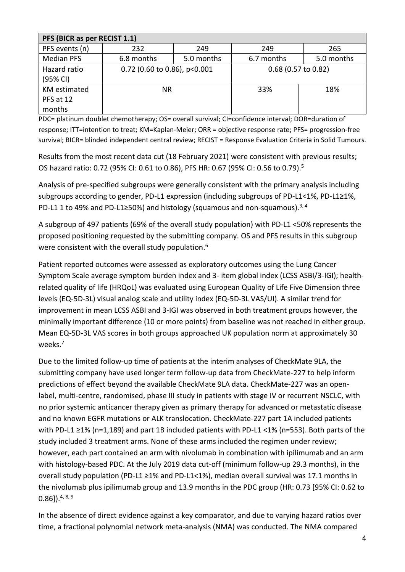| PFS (BICR as per RECIST 1.1)               |                              |            |                       |            |
|--------------------------------------------|------------------------------|------------|-----------------------|------------|
| PFS events (n)                             | 232                          | 249        | 249                   | 265        |
| <b>Median PFS</b>                          | 6.8 months                   | 5.0 months | 6.7 months            | 5.0 months |
| Hazard ratio<br>(95% CI)                   | 0.72 (0.60 to 0.86), p<0.001 |            | $0.68$ (0.57 to 0.82) |            |
| <b>KM</b> estimated<br>PFS at 12<br>months | NR.                          |            | 33%                   | 18%        |

PDC= platinum doublet chemotherapy; OS= overall survival; CI=confidence interval; DOR=duration of response; ITT=intention to treat; KM=Kaplan-Meier; ORR = objective response rate; PFS= progression-free survival; BICR= blinded independent central review; RECIST = Response Evaluation Criteria in Solid Tumours.

Results from the most recent data cut (18 February 2021) were consistent with previous results; OS hazard ratio: 0.72 (95% CI: 0.61 to 0.86), PFS HR: 0.67 (95% CI: 0.56 to 0.79).<sup>5</sup>

Analysis of pre-specified subgroups were generally consistent with the primary analysis including subgroups according to gender, PD-L1 expression (including subgroups of PD-L1<1%, PD-L1≥1%, PD-L1 1 to 49% and PD-L1≥50%) and histology (squamous and non-squamous).<sup>3, 4</sup>

A subgroup of 497 patients (69% of the overall study population) with PD-L1 <50% represents the proposed positioning requested by the submitting company. OS and PFS results in this subgroup were consistent with the overall study population.<sup>6</sup>

Patient reported outcomes were assessed as exploratory outcomes using the Lung Cancer Symptom Scale average symptom burden index and 3- item global index (LCSS ASBI/3-IGI); healthrelated quality of life (HRQoL) was evaluated using European Quality of Life Five Dimension three levels (EQ-5D-3L) visual analog scale and utility index (EQ-5D-3L VAS/UI). A similar trend for improvement in mean LCSS ASBI and 3-IGI was observed in both treatment groups however, the minimally important difference (10 or more points) from baseline was not reached in either group. Mean EQ-5D-3L VAS scores in both groups approached UK population norm at approximately 30 weeks.<sup>7</sup>

Due to the limited follow-up time of patients at the interim analyses of CheckMate 9LA, the submitting company have used longer term follow-up data from CheckMate-227 to help inform predictions of effect beyond the available CheckMate 9LA data. CheckMate-227 was an openlabel, multi-centre, randomised, phase III study in patients with stage IV or recurrent NSCLC, with no prior systemic anticancer therapy given as primary therapy for advanced or metastatic disease and no known EGFR mutations or ALK translocation. CheckMate-227 part 1A included patients with PD-L1 ≥1% (n=1,189) and part 1B included patients with PD-L1 <1% (n=553). Both parts of the study included 3 treatment arms. None of these arms included the regimen under review; however, each part contained an arm with nivolumab in combination with ipilimumab and an arm with histology-based PDC. At the July 2019 data cut-off (minimum follow-up 29.3 months), in the overall study population (PD-L1 ≥1% and PD-L1<1%), median overall survival was 17.1 months in the nivolumab plus ipilimumab group and 13.9 months in the PDC group (HR: 0.73 [95% CI: 0.62 to  $(0.86]$ ).<sup>4, 8, 9</sup>

In the absence of direct evidence against a key comparator, and due to varying hazard ratios over time, a fractional polynomial network meta-analysis (NMA) was conducted. The NMA compared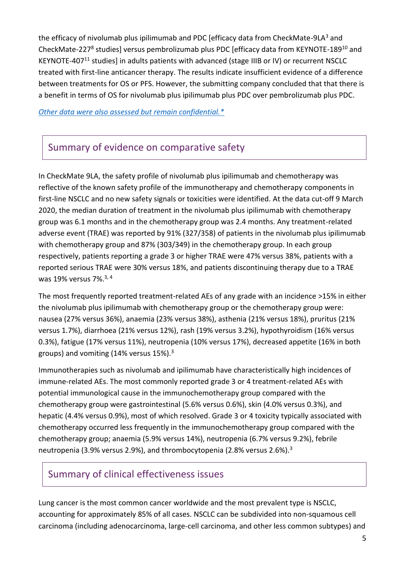the efficacy of nivolumab plus ipilimumab and PDC [efficacy data from CheckMate-9LA3 and CheckMate-227<sup>8</sup> studies] versus pembrolizumab plus PDC [efficacy data from KEYNOTE-189<sup>10</sup> and KEYNOTE-407<sup>11</sup> studies] in adults patients with advanced (stage IIIB or IV) or recurrent NSCLC treated with first-line anticancer therapy. The results indicate insufficient evidence of a difference between treatments for OS or PFS. However, the submitting company concluded that that there is a benefit in terms of OS for nivolumab plus ipilimumab plus PDC over pembrolizumab plus PDC.

*[Other data were also assessed but remain confidential.\\*](https://www.scottishmedicines.org.uk/media/3572/20180710-release-of-company-data.pdf)*

# Summary of evidence on comparative safety

In CheckMate 9LA, the safety profile of nivolumab plus ipilimumab and chemotherapy was reflective of the known safety profile of the immunotherapy and chemotherapy components in first-line NSCLC and no new safety signals or toxicities were identified. At the data cut-off 9 March 2020, the median duration of treatment in the nivolumab plus ipilimumab with chemotherapy group was 6.1 months and in the chemotherapy group was 2.4 months. Any treatment-related adverse event (TRAE) was reported by 91% (327/358) of patients in the nivolumab plus ipilimumab with chemotherapy group and 87% (303/349) in the chemotherapy group. In each group respectively, patients reporting a grade 3 or higher TRAE were 47% versus 38%, patients with a reported serious TRAE were 30% versus 18%, and patients discontinuing therapy due to a TRAE was 19% versus 7%.3, 4

The most frequently reported treatment-related AEs of any grade with an incidence >15% in either the nivolumab plus ipilimumab with chemotherapy group or the chemotherapy group were: nausea (27% versus 36%), anaemia (23% versus 38%), asthenia (21% versus 18%), pruritus (21% versus 1.7%), diarrhoea (21% versus 12%), rash (19% versus 3.2%), hypothyroidism (16% versus 0.3%), fatigue (17% versus 11%), neutropenia (10% versus 17%), decreased appetite (16% in both groups) and vomiting (14% versus 15%).<sup>3</sup>

Immunotherapies such as nivolumab and ipilimumab have characteristically high incidences of immune-related AEs. The most commonly reported grade 3 or 4 treatment-related AEs with potential immunological cause in the immunochemotherapy group compared with the chemotherapy group were gastrointestinal (5.6% versus 0.6%), skin (4.0% versus 0.3%), and hepatic (4.4% versus 0.9%), most of which resolved. Grade 3 or 4 toxicity typically associated with chemotherapy occurred less frequently in the immunochemotherapy group compared with the chemotherapy group; anaemia (5.9% versus 14%), neutropenia (6.7% versus 9.2%), febrile neutropenia (3.9% versus 2.9%), and thrombocytopenia (2.8% versus 2.6%).<sup>3</sup>

### Summary of clinical effectiveness issues

Lung cancer is the most common cancer worldwide and the most prevalent type is NSCLC, accounting for approximately 85% of all cases. NSCLC can be subdivided into non-squamous cell carcinoma (including adenocarcinoma, large-cell carcinoma, and other less common subtypes) and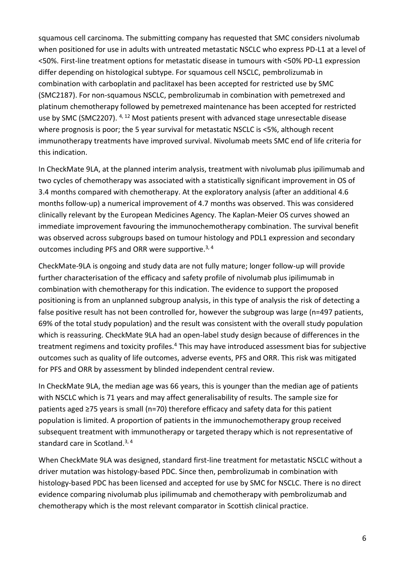squamous cell carcinoma. The submitting company has requested that SMC considers nivolumab when positioned for use in adults with untreated metastatic NSCLC who express PD-L1 at a level of <50%. First-line treatment options for metastatic disease in tumours with <50% PD-L1 expression differ depending on histological subtype. For squamous cell NSCLC, pembrolizumab in combination with carboplatin and paclitaxel has been accepted for restricted use by SMC (SMC2187). For non-squamous NSCLC, pembrolizumab in combination with pemetrexed and platinum chemotherapy followed by pemetrexed maintenance has been accepted for restricted use by SMC (SMC2207). <sup>4, 12</sup> Most patients present with advanced stage unresectable disease where prognosis is poor; the 5 year survival for metastatic NSCLC is <5%, although recent immunotherapy treatments have improved survival. Nivolumab meets SMC end of life criteria for this indication.

In CheckMate 9LA, at the planned interim analysis, treatment with nivolumab plus ipilimumab and two cycles of chemotherapy was associated with a statistically significant improvement in OS of 3.4 months compared with chemotherapy. At the exploratory analysis (after an additional 4.6 months follow-up) a numerical improvement of 4.7 months was observed. This was considered clinically relevant by the European Medicines Agency. The Kaplan-Meier OS curves showed an immediate improvement favouring the immunochemotherapy combination. The survival benefit was observed across subgroups based on tumour histology and PDL1 expression and secondary outcomes including PFS and ORR were supportive.<sup>3, 4</sup>

CheckMate-9LA is ongoing and study data are not fully mature; longer follow-up will provide further characterisation of the efficacy and safety profile of nivolumab plus ipilimumab in combination with chemotherapy for this indication. The evidence to support the proposed positioning is from an unplanned subgroup analysis, in this type of analysis the risk of detecting a false positive result has not been controlled for, however the subgroup was large (n=497 patients, 69% of the total study population) and the result was consistent with the overall study population which is reassuring. CheckMate 9LA had an open-label study design because of differences in the treatment regimens and toxicity profiles.<sup>4</sup> This may have introduced assessment bias for subjective outcomes such as quality of life outcomes, adverse events, PFS and ORR. This risk was mitigated for PFS and ORR by assessment by blinded independent central review.

In CheckMate 9LA, the median age was 66 years, this is younger than the median age of patients with NSCLC which is 71 years and may affect generalisability of results. The sample size for patients aged ≥75 years is small (n=70) therefore efficacy and safety data for this patient population is limited. A proportion of patients in the immunochemotherapy group received subsequent treatment with immunotherapy or targeted therapy which is not representative of standard care in Scotland.<sup>3, 4</sup>

When CheckMate 9LA was designed, standard first-line treatment for metastatic NSCLC without a driver mutation was histology-based PDC. Since then, pembrolizumab in combination with histology-based PDC has been licensed and accepted for use by SMC for NSCLC. There is no direct evidence comparing nivolumab plus ipilimumab and chemotherapy with pembrolizumab and chemotherapy which is the most relevant comparator in Scottish clinical practice.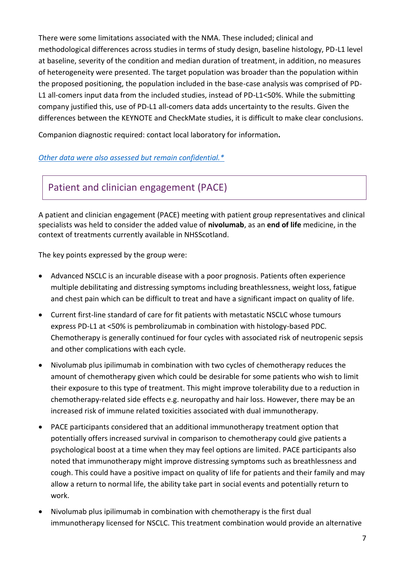There were some limitations associated with the NMA. These included; clinical and methodological differences across studies in terms of study design, baseline histology, PD-L1 level at baseline, severity of the condition and median duration of treatment, in addition, no measures of heterogeneity were presented. The target population was broader than the population within the proposed positioning, the population included in the base-case analysis was comprised of PD-L1 all-comers input data from the included studies, instead of PD-L1<50%. While the submitting company justified this, use of PD-L1 all-comers data adds uncertainty to the results. Given the differences between the KEYNOTE and CheckMate studies, it is difficult to make clear conclusions.

Companion diagnostic required: contact local laboratory for information**.**

#### *[Other data were also assessed but remain confidential.\\*](https://www.scottishmedicines.org.uk/media/3572/20180710-release-of-company-data.pdf)*

# Patient and clinician engagement (PACE)

A patient and clinician engagement (PACE) meeting with patient group representatives and clinical specialists was held to consider the added value of **nivolumab**, as an **end of life** medicine, in the context of treatments currently available in NHSScotland.

The key points expressed by the group were:

- Advanced NSCLC is an incurable disease with a poor prognosis. Patients often experience multiple debilitating and distressing symptoms including breathlessness, weight loss, fatigue and chest pain which can be difficult to treat and have a significant impact on quality of life.
- Current first-line standard of care for fit patients with metastatic NSCLC whose tumours express PD-L1 at <50% is pembrolizumab in combination with histology-based PDC. Chemotherapy is generally continued for four cycles with associated risk of neutropenic sepsis and other complications with each cycle.
- Nivolumab plus ipilimumab in combination with two cycles of chemotherapy reduces the amount of chemotherapy given which could be desirable for some patients who wish to limit their exposure to this type of treatment. This might improve tolerability due to a reduction in chemotherapy-related side effects e.g. neuropathy and hair loss. However, there may be an increased risk of immune related toxicities associated with dual immunotherapy.
- PACE participants considered that an additional immunotherapy treatment option that potentially offers increased survival in comparison to chemotherapy could give patients a psychological boost at a time when they may feel options are limited. PACE participants also noted that immunotherapy might improve distressing symptoms such as breathlessness and cough. This could have a positive impact on quality of life for patients and their family and may allow a return to normal life, the ability take part in social events and potentially return to work.
- Nivolumab plus ipilimumab in combination with chemotherapy is the first dual immunotherapy licensed for NSCLC. This treatment combination would provide an alternative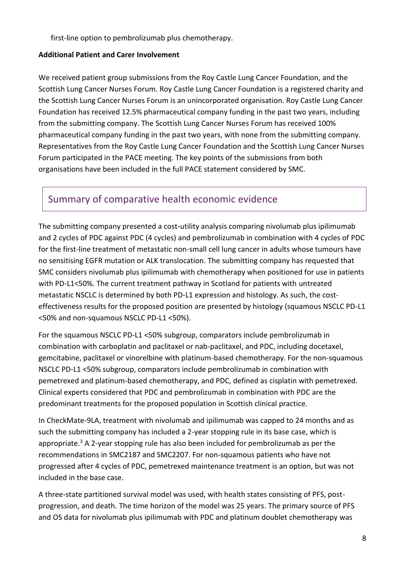first-line option to pembrolizumab plus chemotherapy.

#### **Additional Patient and Carer Involvement**

We received patient group submissions from the Roy Castle Lung Cancer Foundation, and the Scottish Lung Cancer Nurses Forum. Roy Castle Lung Cancer Foundation is a registered charity and the Scottish Lung Cancer Nurses Forum is an unincorporated organisation. Roy Castle Lung Cancer Foundation has received 12.5% pharmaceutical company funding in the past two years, including from the submitting company. The Scottish Lung Cancer Nurses Forum has received 100% pharmaceutical company funding in the past two years, with none from the submitting company. Representatives from the Roy Castle Lung Cancer Foundation and the Scottish Lung Cancer Nurses Forum participated in the PACE meeting. The key points of the submissions from both organisations have been included in the full PACE statement considered by SMC.

### Summary of comparative health economic evidence

The submitting company presented a cost-utility analysis comparing nivolumab plus ipilimumab and 2 cycles of PDC against PDC (4 cycles) and pembrolizumab in combination with 4 cycles of PDC for the first-line treatment of metastatic non-small cell lung cancer in adults whose tumours have no sensitising EGFR mutation or ALK translocation. The submitting company has requested that SMC considers nivolumab plus ipilimumab with chemotherapy when positioned for use in patients with PD-L1<50%. The current treatment pathway in Scotland for patients with untreated metastatic NSCLC is determined by both PD-L1 expression and histology. As such, the costeffectiveness results for the proposed position are presented by histology (squamous NSCLC PD-L1 <50% and non-squamous NSCLC PD-L1 <50%).

For the squamous NSCLC PD-L1 <50% subgroup, comparators include pembrolizumab in combination with carboplatin and paclitaxel or nab-paclitaxel, and PDC, including docetaxel, gemcitabine, paclitaxel or vinorelbine with platinum-based chemotherapy. For the non-squamous NSCLC PD-L1 <50% subgroup, comparators include pembrolizumab in combination with pemetrexed and platinum-based chemotherapy, and PDC, defined as cisplatin with pemetrexed. Clinical experts considered that PDC and pembrolizumab in combination with PDC are the predominant treatments for the proposed population in Scottish clinical practice.

In CheckMate-9LA, treatment with nivolumab and ipilimumab was capped to 24 months and as such the submitting company has included a 2-year stopping rule in its base case, which is appropriate.<sup>3</sup> A 2-year stopping rule has also been included for pembrolizumab as per the recommendations in SMC2187 and SMC2207. For non-squamous patients who have not progressed after 4 cycles of PDC, pemetrexed maintenance treatment is an option, but was not included in the base case.

A three-state partitioned survival model was used, with health states consisting of PFS, postprogression, and death. The time horizon of the model was 25 years. The primary source of PFS and OS data for nivolumab plus ipilimumab with PDC and platinum doublet chemotherapy was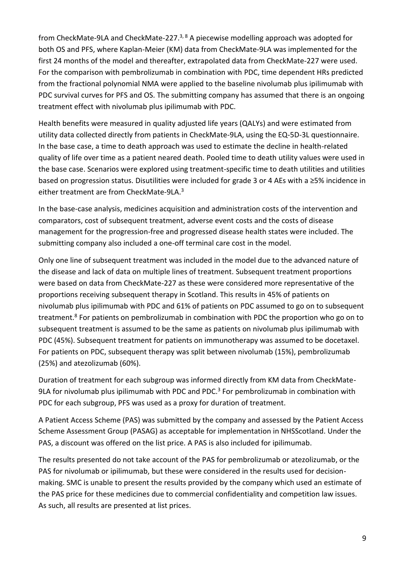from CheckMate-9LA and CheckMate-227.<sup>3, 8</sup> A piecewise modelling approach was adopted for both OS and PFS, where Kaplan-Meier (KM) data from CheckMate-9LA was implemented for the first 24 months of the model and thereafter, extrapolated data from CheckMate-227 were used. For the comparison with pembrolizumab in combination with PDC, time dependent HRs predicted from the fractional polynomial NMA were applied to the baseline nivolumab plus ipilimumab with PDC survival curves for PFS and OS. The submitting company has assumed that there is an ongoing treatment effect with nivolumab plus ipilimumab with PDC.

Health benefits were measured in quality adjusted life years (QALYs) and were estimated from utility data collected directly from patients in CheckMate-9LA, using the EQ-5D-3L questionnaire. In the base case, a time to death approach was used to estimate the decline in health-related quality of life over time as a patient neared death. Pooled time to death utility values were used in the base case. Scenarios were explored using treatment-specific time to death utilities and utilities based on progression status. Disutilities were included for grade 3 or 4 AEs with a ≥5% incidence in either treatment are from CheckMate-9LA. 3

In the base-case analysis, medicines acquisition and administration costs of the intervention and comparators, cost of subsequent treatment, adverse event costs and the costs of disease management for the progression-free and progressed disease health states were included. The submitting company also included a one-off terminal care cost in the model.

Only one line of subsequent treatment was included in the model due to the advanced nature of the disease and lack of data on multiple lines of treatment. Subsequent treatment proportions were based on data from CheckMate-227 as these were considered more representative of the proportions receiving subsequent therapy in Scotland. This results in 45% of patients on nivolumab plus ipilimumab with PDC and 61% of patients on PDC assumed to go on to subsequent treatment.<sup>8</sup> For patients on pembrolizumab in combination with PDC the proportion who go on to subsequent treatment is assumed to be the same as patients on nivolumab plus ipilimumab with PDC (45%). Subsequent treatment for patients on immunotherapy was assumed to be docetaxel. For patients on PDC, subsequent therapy was split between nivolumab (15%), pembrolizumab (25%) and atezolizumab (60%).

Duration of treatment for each subgroup was informed directly from KM data from CheckMate-9LA for nivolumab plus ipilimumab with PDC and PDC.<sup>3</sup> For pembrolizumab in combination with PDC for each subgroup, PFS was used as a proxy for duration of treatment.

A Patient Access Scheme (PAS) was submitted by the company and assessed by the Patient Access Scheme Assessment Group (PASAG) as acceptable for implementation in NHSScotland. Under the PAS, a discount was offered on the list price. A PAS is also included for ipilimumab.

The results presented do not take account of the PAS for pembrolizumab or atezolizumab, or the PAS for nivolumab or ipilimumab, but these were considered in the results used for decisionmaking. SMC is unable to present the results provided by the company which used an estimate of the PAS price for these medicines due to commercial confidentiality and competition law issues. As such, all results are presented at list prices.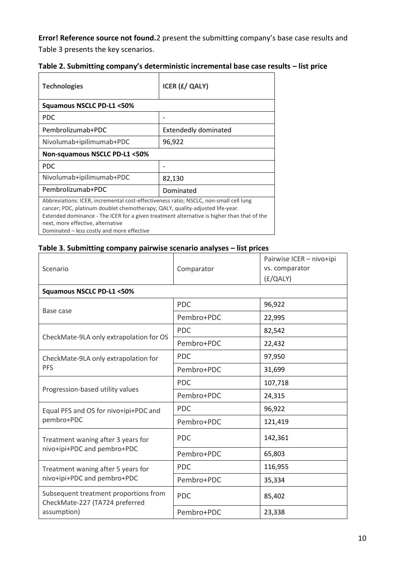**Error! Reference source not found.**2 present the submitting company's base case results and [Table 3](#page-9-0) presents the key scenarios.

| Table 2. Submitting company's deterministic incremental base case results - list price |  |  |
|----------------------------------------------------------------------------------------|--|--|
|----------------------------------------------------------------------------------------|--|--|

| <b>Technologies</b>                                                                                                                                                                                                                                                                                                                                     | <b>ICER (£/ QALY)</b>       |  |  |
|---------------------------------------------------------------------------------------------------------------------------------------------------------------------------------------------------------------------------------------------------------------------------------------------------------------------------------------------------------|-----------------------------|--|--|
| Squamous NSCLC PD-L1 <50%                                                                                                                                                                                                                                                                                                                               |                             |  |  |
| PDC.                                                                                                                                                                                                                                                                                                                                                    |                             |  |  |
| Pembrolizumab+PDC                                                                                                                                                                                                                                                                                                                                       | <b>Extendedly dominated</b> |  |  |
| Nivolumab+ipilimumab+PDC                                                                                                                                                                                                                                                                                                                                | 96,922                      |  |  |
| Non-squamous NSCLC PD-L1 <50%                                                                                                                                                                                                                                                                                                                           |                             |  |  |
| PDC.                                                                                                                                                                                                                                                                                                                                                    |                             |  |  |
| Nivolumab+ipilimumab+PDC                                                                                                                                                                                                                                                                                                                                | 82,130                      |  |  |
| Pembrolizumab+PDC                                                                                                                                                                                                                                                                                                                                       | Dominated                   |  |  |
| Abbreviations: ICER, incremental cost-effectiveness ratio; NSCLC, non-small cell lung<br>cancer; PDC, platinum doublet chemotherapy; QALY, quality-adjusted life-year.<br>Extended dominance - The ICER for a given treatment alternative is higher than that of the<br>next, more effective, alternative<br>Dominated – less costly and more effective |                             |  |  |

#### <span id="page-9-0"></span>**Table 3. Submitting company pairwise scenario analyses – list prices**

| Scenario                                                                | Comparator | Pairwise ICER - nivo+ipi<br>vs. comparator<br>(E/QALY) |  |
|-------------------------------------------------------------------------|------------|--------------------------------------------------------|--|
| <b>Squamous NSCLC PD-L1 &lt;50%</b>                                     |            |                                                        |  |
| Base case                                                               | <b>PDC</b> | 96,922                                                 |  |
|                                                                         | Pembro+PDC | 22,995                                                 |  |
| CheckMate-9LA only extrapolation for OS                                 | <b>PDC</b> | 82,542                                                 |  |
|                                                                         | Pembro+PDC | 22,432                                                 |  |
| CheckMate-9LA only extrapolation for<br><b>PFS</b>                      | <b>PDC</b> | 97,950                                                 |  |
|                                                                         | Pembro+PDC | 31,699                                                 |  |
|                                                                         | <b>PDC</b> | 107,718                                                |  |
| Progression-based utility values                                        | Pembro+PDC | 24,315                                                 |  |
| Equal PFS and OS for nivo+ipi+PDC and                                   | <b>PDC</b> | 96,922                                                 |  |
| pembro+PDC                                                              | Pembro+PDC | 121,419                                                |  |
| Treatment waning after 3 years for                                      | <b>PDC</b> | 142,361                                                |  |
| nivo+ipi+PDC and pembro+PDC                                             | Pembro+PDC | 65,803                                                 |  |
| Treatment waning after 5 years for                                      | <b>PDC</b> | 116,955                                                |  |
| nivo+ipi+PDC and pembro+PDC                                             | Pembro+PDC | 35,334                                                 |  |
| Subsequent treatment proportions from<br>CheckMate-227 (TA724 preferred | <b>PDC</b> | 85,402                                                 |  |
| assumption)                                                             | Pembro+PDC | 23,338                                                 |  |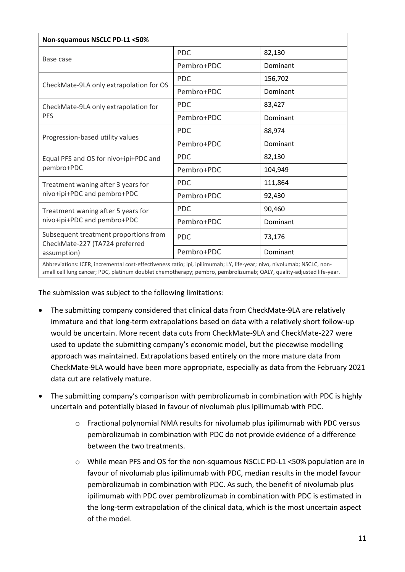| Non-squamous NSCLC PD-L1 <50%                                                                                            |            |          |  |
|--------------------------------------------------------------------------------------------------------------------------|------------|----------|--|
|                                                                                                                          | <b>PDC</b> | 82,130   |  |
| Base case                                                                                                                | Pembro+PDC | Dominant |  |
| CheckMate-9LA only extrapolation for OS                                                                                  | <b>PDC</b> | 156,702  |  |
|                                                                                                                          | Pembro+PDC | Dominant |  |
| CheckMate-9LA only extrapolation for<br><b>PFS</b>                                                                       | <b>PDC</b> | 83,427   |  |
|                                                                                                                          | Pembro+PDC | Dominant |  |
| Progression-based utility values                                                                                         | <b>PDC</b> | 88,974   |  |
|                                                                                                                          | Pembro+PDC | Dominant |  |
| Equal PFS and OS for nivo+ipi+PDC and<br>pembro+PDC                                                                      | <b>PDC</b> | 82,130   |  |
|                                                                                                                          | Pembro+PDC | 104,949  |  |
| Treatment waning after 3 years for                                                                                       | <b>PDC</b> | 111,864  |  |
| nivo+ipi+PDC and pembro+PDC                                                                                              | Pembro+PDC | 92,430   |  |
| Treatment waning after 5 years for                                                                                       | <b>PDC</b> | 90,460   |  |
| nivo+ipi+PDC and pembro+PDC                                                                                              | Pembro+PDC | Dominant |  |
| Subsequent treatment proportions from<br>CheckMate-227 (TA724 preferred                                                  | <b>PDC</b> | 73,176   |  |
| assumption)                                                                                                              | Pembro+PDC | Dominant |  |
| Abbreviations: ICER, incremental cost-effectiveness ratio: ipi, ipilimumab: I.Y. life-vear; nivo, nivolumab: NSCLC, non- |            |          |  |

Abbreviations: ICER, incremental cost-effectiveness ratio; ipi, ipilimumab; LY, life-year; nivo, nivolumab; NSCLC, nonsmall cell lung cancer; PDC, platinum doublet chemotherapy; pembro, pembrolizumab; QALY, quality-adjusted life-year.

The submission was subject to the following limitations:

- The submitting company considered that clinical data from CheckMate-9LA are relatively immature and that long-term extrapolations based on data with a relatively short follow-up would be uncertain. More recent data cuts from CheckMate-9LA and CheckMate-227 were used to update the submitting company's economic model, but the piecewise modelling approach was maintained. Extrapolations based entirely on the more mature data from CheckMate-9LA would have been more appropriate, especially as data from the February 2021 data cut are relatively mature.
- The submitting company's comparison with pembrolizumab in combination with PDC is highly uncertain and potentially biased in favour of nivolumab plus ipilimumab with PDC.
	- o Fractional polynomial NMA results for nivolumab plus ipilimumab with PDC versus pembrolizumab in combination with PDC do not provide evidence of a difference between the two treatments.
	- o While mean PFS and OS for the non-squamous NSCLC PD-L1 <50% population are in favour of nivolumab plus ipilimumab with PDC, median results in the model favour pembrolizumab in combination with PDC. As such, the benefit of nivolumab plus ipilimumab with PDC over pembrolizumab in combination with PDC is estimated in the long-term extrapolation of the clinical data, which is the most uncertain aspect of the model.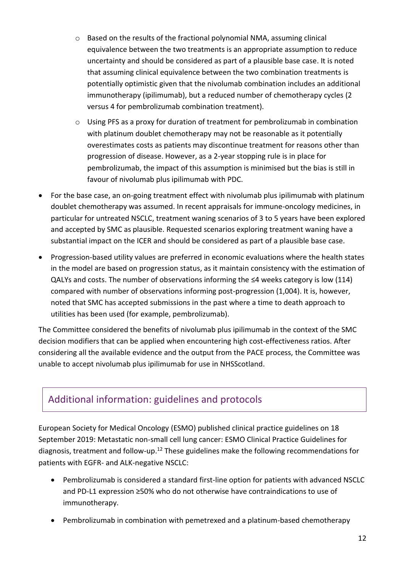- o Based on the results of the fractional polynomial NMA, assuming clinical equivalence between the two treatments is an appropriate assumption to reduce uncertainty and should be considered as part of a plausible base case. It is noted that assuming clinical equivalence between the two combination treatments is potentially optimistic given that the nivolumab combination includes an additional immunotherapy (ipilimumab), but a reduced number of chemotherapy cycles (2 versus 4 for pembrolizumab combination treatment).
- o Using PFS as a proxy for duration of treatment for pembrolizumab in combination with platinum doublet chemotherapy may not be reasonable as it potentially overestimates costs as patients may discontinue treatment for reasons other than progression of disease. However, as a 2-year stopping rule is in place for pembrolizumab, the impact of this assumption is minimised but the bias is still in favour of nivolumab plus ipilimumab with PDC.
- For the base case, an on-going treatment effect with nivolumab plus ipilimumab with platinum doublet chemotherapy was assumed. In recent appraisals for immune-oncology medicines, in particular for untreated NSCLC, treatment waning scenarios of 3 to 5 years have been explored and accepted by SMC as plausible. Requested scenarios exploring treatment waning have a substantial impact on the ICER and should be considered as part of a plausible base case.
- Progression-based utility values are preferred in economic evaluations where the health states in the model are based on progression status, as it maintain consistency with the estimation of QALYs and costs. The number of observations informing the  $\leq 4$  weeks category is low (114) compared with number of observations informing post-progression (1,004). It is, however, noted that SMC has accepted submissions in the past where a time to death approach to utilities has been used (for example, pembrolizumab).

The Committee considered the benefits of nivolumab plus ipilimumab in the context of the SMC decision modifiers that can be applied when encountering high cost-effectiveness ratios. After considering all the available evidence and the output from the PACE process, the Committee was unable to accept nivolumab plus ipilimumab for use in NHSScotland.

### Additional information: guidelines and protocols

European Society for Medical Oncology (ESMO) published clinical practice guidelines on 18 September 2019: Metastatic non-small cell lung cancer: ESMO Clinical Practice Guidelines for diagnosis, treatment and follow-up.<sup>12</sup> These guidelines make the following recommendations for patients with EGFR- and ALK-negative NSCLC:

- Pembrolizumab is considered a standard first-line option for patients with advanced NSCLC and PD-L1 expression ≥50% who do not otherwise have contraindications to use of immunotherapy.
- Pembrolizumab in combination with pemetrexed and a platinum-based chemotherapy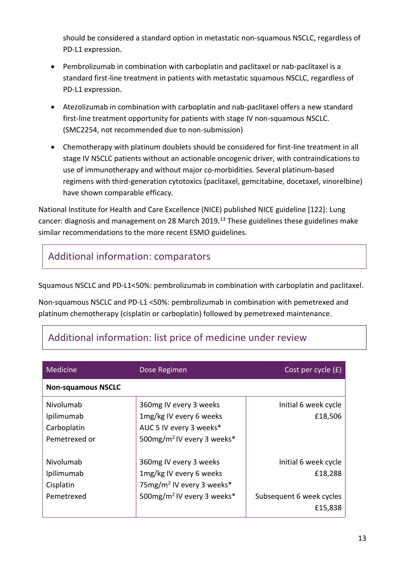should be considered a standard option in metastatic non-squamous NSCLC, regardless of PD-L1 expression.

- Pembrolizumab in combination with carboplatin and paclitaxel or nab-paclitaxel is a standard first-line treatment in patients with metastatic squamous NSCLC, regardless of PD-L1 expression.
- Atezolizumab in combination with carboplatin and nab-paclitaxel offers a new standard first-line treatment opportunity for patients with stage IV non-squamous NSCLC. (SMC2254, not recommended due to non-submission)
- Chemotherapy with platinum doublets should be considered for first-line treatment in all stage IV NSCLC patients without an actionable oncogenic driver, with contraindications to use of immunotherapy and without major co-morbidities. Several platinum-based regimens with third-generation cytotoxics (paclitaxel, gemcitabine, docetaxel, vinorelbine) have shown comparable efficacy.

National Institute for Health and Care Excellence (NICE) published NICE guideline [122]: Lung cancer: diagnosis and management on 28 March 2019.<sup>13</sup> These guidelines these guidelines make similar recommendations to the more recent ESMO guidelines.

# Additional information: comparators

Squamous NSCLC and PD-L1<50%: pembrolizumab in combination with carboplatin and paclitaxel.

Non-squamous NSCLC and PD-L1 <50%: pembrolizumab in combination with pemetrexed and platinum chemotherapy (cisplatin or carboplatin) followed by pemetrexed maintenance.

| Medicine                  | Dose Regimen                           | Cost per cycle $(f)$     |
|---------------------------|----------------------------------------|--------------------------|
| <b>Non-squamous NSCLC</b> |                                        |                          |
| Nivolumab                 | 360mg IV every 3 weeks                 | Initial 6 week cycle     |
| Ipilimumab                | 1mg/kg IV every 6 weeks                | £18,506                  |
| Carboplatin               | AUC 5 IV every 3 weeks*                |                          |
| Pemetrexed or             | 500mg/m <sup>2</sup> IV every 3 weeks* |                          |
| Nivolumab                 | 360mg IV every 3 weeks                 | Initial 6 week cycle     |
| Ipilimumab                | 1mg/kg IV every 6 weeks                | £18,288                  |
| Cisplatin                 | 75mg/m <sup>2</sup> IV every 3 weeks*  |                          |
| Pemetrexed                | 500mg/m <sup>2</sup> IV every 3 weeks* | Subsequent 6 week cycles |
|                           |                                        | £15,838                  |

# Additional information: list price of medicine under review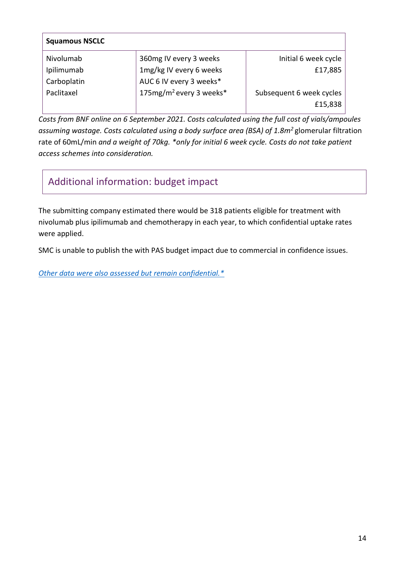| <b>Squamous NSCLC</b> |                                     |                          |
|-----------------------|-------------------------------------|--------------------------|
| Nivolumab             | 360mg IV every 3 weeks              | Initial 6 week cycle     |
| Ipilimumab            | 1mg/kg IV every 6 weeks             | £17,885                  |
| Carboplatin           | AUC 6 IV every 3 weeks*             |                          |
| Paclitaxel            | 175mg/m <sup>2</sup> every 3 weeks* | Subsequent 6 week cycles |
|                       |                                     | £15,838                  |

*Costs from BNF online on 6 September 2021. Costs calculated using the full cost of vials/ampoules assuming wastage. Costs calculated using a body surface area (BSA) of 1.8m<sup>2</sup>*glomerular filtration rate of 60mL/min *and a weight of 70kg. \*only for initial 6 week cycle. Costs do not take patient access schemes into consideration.*

### Additional information: budget impact

The submitting company estimated there would be 318 patients eligible for treatment with nivolumab plus ipilimumab and chemotherapy in each year, to which confidential uptake rates were applied.

SMC is unable to publish the with PAS budget impact due to commercial in confidence issues.

*[Other data were also assessed but remain confidential.\\*](https://www.scottishmedicines.org.uk/media/3572/20180710-release-of-company-data.pdf)*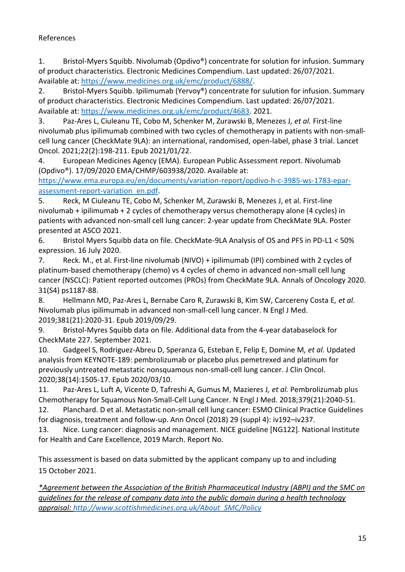#### References

1. Bristol-Myers Squibb. Nivolumab (Opdivo®) concentrate for solution for infusion. Summary of product characteristics. Electronic Medicines Compendium. Last updated: 26/07/2021. Available at: [https://www.medicines.org.uk/emc/product/6888/.](https://www.medicines.org.uk/emc/product/6888/)

2. Bristol-Myers Squibb. Ipilimumab (Yervoy®) concentrate for sulution for infusion. Summary of product characteristics. Electronic Medicines Compendium. Last updated: 26/07/2021. Available at: [https://www.medicines.org.uk/emc/product/4683.](https://www.medicines.org.uk/emc/product/4683) 2021.

3. Paz-Ares L, Ciuleanu TE, Cobo M, Schenker M, Zurawski B, Menezes J*, et al.* First-line nivolumab plus ipilimumab combined with two cycles of chemotherapy in patients with non-smallcell lung cancer (CheckMate 9LA): an international, randomised, open-label, phase 3 trial. Lancet Oncol. 2021;22(2):198-211. Epub 2021/01/22.

4. European Medicines Agency (EMA). European Public Assessment report. Nivolumab (Opdivo®). 17/09/2020 EMA/CHMP/603938/2020. Available at:

[https://www.ema.europa.eu/en/documents/variation-report/opdivo-h-c-3985-ws-1783-epar](https://www.ema.europa.eu/en/documents/variation-report/opdivo-h-c-3985-ws-1783-epar-assessment-report-variation_en.pdf)[assessment-report-variation\\_en.pdf.](https://www.ema.europa.eu/en/documents/variation-report/opdivo-h-c-3985-ws-1783-epar-assessment-report-variation_en.pdf)

5. Reck, M Ciuleanu TE, Cobo M, Schenker M, Zurawski B, Menezes J, et al. First-line nivolumab + ipilimumab + 2 cycles of chemotherapy versus chemotherapy alone (4 cycles) in patients with advanced non-small cell lung cancer: 2-year update from CheckMate 9LA. Poster presented at ASCO 2021.

6. Bristol Myers Squibb data on file. CheckMate-9LA Analysis of OS and PFS in PD-L1 < 50% expression. 16 July 2020.

7. Reck. M., et al. First-line nivolumab (NIVO) + ipilimumab (IPI) combined with 2 cycles of platinum-based chemotherapy (chemo) vs 4 cycles of chemo in advanced non-small cell lung cancer (NSCLC): Patient reported outcomes (PROs) from CheckMate 9LA. Annals of Oncology 2020. 31(S4) ps1187-88.

8. Hellmann MD, Paz-Ares L, Bernabe Caro R, Zurawski B, Kim SW, Carcereny Costa E*, et al.* Nivolumab plus ipilimumab in advanced non-small-cell lung cancer. N Engl J Med. 2019;381(21):2020-31. Epub 2019/09/29.

9. Bristol-Myres Squibb data on file. Additional data from the 4-year databaselock for CheckMate 227. September 2021.

10. Gadgeel S, Rodriguez-Abreu D, Speranza G, Esteban E, Felip E, Domine M*, et al.* Updated analysis from KEYNOTE-189: pembrolizumab or placebo plus pemetrexed and platinum for previously untreated metastatic nonsquamous non-small-cell lung cancer. J Clin Oncol. 2020;38(14):1505-17. Epub 2020/03/10.

11. Paz-Ares L, Luft A, Vicente D, Tafreshi A, Gumus M, Mazieres J*, et al.* Pembrolizumab plus Chemotherapy for Squamous Non-Small-Cell Lung Cancer. N Engl J Med. 2018;379(21):2040-51.

12. Planchard. D et al. Metastatic non-small cell lung cancer: ESMO Clinical Practice Guidelines for diagnosis, treatment and follow-up. Ann Oncol (2018) 29 (suppl 4): iv192–iv237.

13. Nice. Lung cancer: diagnosis and management. NICE guideline [NG122]. National Institute for Health and Care Excellence, 2019 March. Report No.

This assessment is based on data submitted by the applicant company up to and including 15 October 2021.

*\*Agreement between the Association of the British Pharmaceutical Industry (ABPI) and the SMC on guidelines for the release of company data into the public domain during a health technology appraisal: [http://www.scottishmedicines.org.uk/About\\_SMC/Policy](http://www.scottishmedicines.org.uk/About_SMC/Policy)*